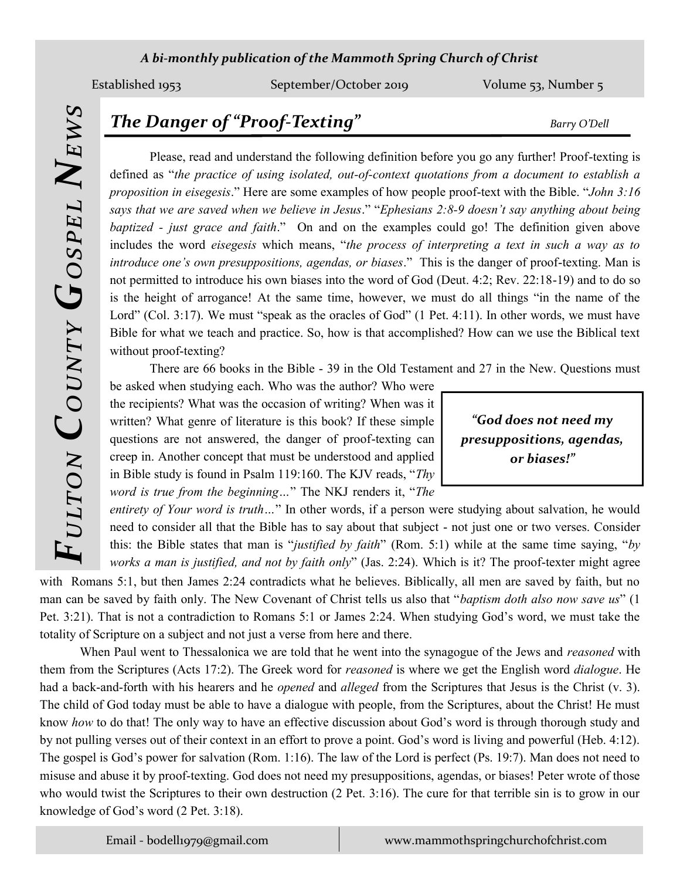### *A bi-monthly publication of the Mammoth Spring Church of Christ*

Established 1953 September/October 2019 Volume 53, Number 5

# *The Danger of "Proof-Texting" Barry O'Dell*

Please, read and understand the following definition before you go any further! Proof-texting is defined as "*the practice of using isolated, out-of-context quotations from a document to establish a proposition in eisegesis*." Here are some examples of how people proof-text with the Bible. "*John 3:16 says that we are saved when we believe in Jesus*." "*Ephesians 2:8-9 doesn't say anything about being baptized - just grace and faith*." On and on the examples could go! The definition given above includes the word *eisegesis* which means, "*the process of interpreting a text in such a way as to introduce one's own presuppositions, agendas, or biases*." This is the danger of proof-texting. Man is not permitted to introduce his own biases into the word of God (Deut. 4:2; Rev. 22:18-19) and to do so is the height of arrogance! At the same time, however, we must do all things "in the name of the Lord" (Col. 3:17). We must "speak as the oracles of God" (1 Pet. 4:11). In other words, we must have Bible for what we teach and practice. So, how is that accomplished? How can we use the Biblical text without proof-texting?

There are 66 books in the Bible - 39 in the Old Testament and 27 in the New. Questions must

be asked when studying each. Who was the author? Who were the recipients? What was the occasion of writing? When was it written? What genre of literature is this book? If these simple questions are not answered, the danger of proof-texting can creep in. Another concept that must be understood and applied in Bible study is found in Psalm 119:160. The KJV reads, "*Thy word is true from the beginning…*" The NKJ renders it, "*The* 

*"God does not need my presuppositions, agendas, or biases!"*

*entirety of Your word is truth...*" In other words, if a person were studying about salvation, he would need to consider all that the Bible has to say about that subject - not just one or two verses. Consider this: the Bible states that man is "*justified by faith*" (Rom. 5:1) while at the same time saying, "*by works a man is justified, and not by faith only*" (Jas. 2:24). Which is it? The proof-texter might agree

with Romans 5:1, but then James 2:24 contradicts what he believes. Biblically, all men are saved by faith, but no man can be saved by faith only. The New Covenant of Christ tells us also that "*baptism doth also now save us*" (1 Pet. 3:21). That is not a contradiction to Romans 5:1 or James 2:24. When studying God's word, we must take the totality of Scripture on a subject and not just a verse from here and there.

When Paul went to Thessalonica we are told that he went into the synagogue of the Jews and *reasoned* with them from the Scriptures (Acts 17:2). The Greek word for *reasoned* is where we get the English word *dialogue*. He had a back-and-forth with his hearers and he *opened* and *alleged* from the Scriptures that Jesus is the Christ (v. 3). The child of God today must be able to have a dialogue with people, from the Scriptures, about the Christ! He must know *how* to do that! The only way to have an effective discussion about God's word is through thorough study and by not pulling verses out of their context in an effort to prove a point. God's word is living and powerful (Heb. 4:12). The gospel is God's power for salvation (Rom. 1:16). The law of the Lord is perfect (Ps. 19:7). Man does not need to misuse and abuse it by proof-texting. God does not need my presuppositions, agendas, or biases! Peter wrote of those who would twist the Scriptures to their own destruction (2 Pet. 3:16). The cure for that terrible sin is to grow in our knowledge of God's word (2 Pet. 3:18).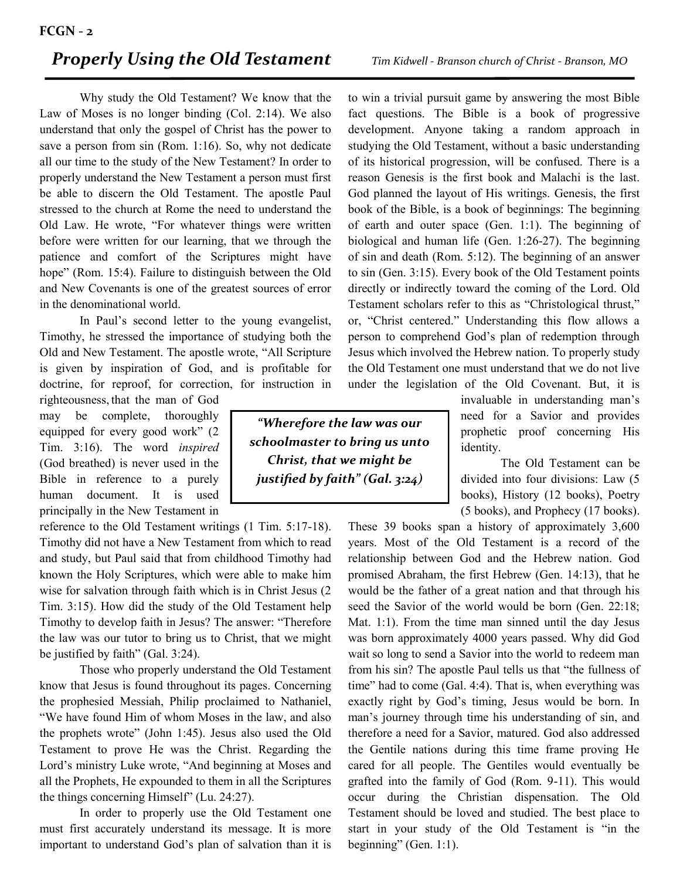## *Properly Using the Old Testament Tim Kidwell - Branson church of Christ - Branson, MO*

Why study the Old Testament? We know that the Law of Moses is no longer binding (Col. 2:14). We also understand that only the gospel of Christ has the power to save a person from sin (Rom. 1:16). So, why not dedicate all our time to the study of the New Testament? In order to properly understand the New Testament a person must first be able to discern the Old Testament. The apostle Paul stressed to the church at Rome the need to understand the Old Law. He wrote, "For whatever things were written before were written for our learning, that we through the patience and comfort of the Scriptures might have hope" (Rom. 15:4). Failure to distinguish between the Old and New Covenants is one of the greatest sources of error in the denominational world.

In Paul's second letter to the young evangelist, Timothy, he stressed the importance of studying both the Old and New Testament. The apostle wrote, "All Scripture is given by inspiration of God, and is profitable for doctrine, for reproof, for correction, for instruction in

righteousness, that the man of God may be complete, thoroughly equipped for every good work" (2 Tim. 3:16). The word *inspired* (God breathed) is never used in the Bible in reference to a purely human document. It is used principally in the New Testament in

reference to the Old Testament writings (1 Tim. 5:17-18). Timothy did not have a New Testament from which to read and study, but Paul said that from childhood Timothy had known the Holy Scriptures, which were able to make him wise for salvation through faith which is in Christ Jesus (2 Tim. 3:15). How did the study of the Old Testament help Timothy to develop faith in Jesus? The answer: "Therefore the law was our tutor to bring us to Christ, that we might be justified by faith" (Gal. 3:24).

Those who properly understand the Old Testament know that Jesus is found throughout its pages. Concerning the prophesied Messiah, Philip proclaimed to Nathaniel, "We have found Him of whom Moses in the law, and also the prophets wrote" (John 1:45). Jesus also used the Old Testament to prove He was the Christ. Regarding the Lord's ministry Luke wrote, "And beginning at Moses and all the Prophets, He expounded to them in all the Scriptures the things concerning Himself" (Lu. 24:27).

In order to properly use the Old Testament one must first accurately understand its message. It is more important to understand God's plan of salvation than it is

to win a trivial pursuit game by answering the most Bible fact questions. The Bible is a book of progressive development. Anyone taking a random approach in studying the Old Testament, without a basic understanding of its historical progression, will be confused. There is a reason Genesis is the first book and Malachi is the last. God planned the layout of His writings. Genesis, the first book of the Bible, is a book of beginnings: The beginning of earth and outer space (Gen. 1:1). The beginning of biological and human life (Gen. 1:26-27). The beginning of sin and death (Rom. 5:12). The beginning of an answer to sin (Gen. 3:15). Every book of the Old Testament points directly or indirectly toward the coming of the Lord. Old Testament scholars refer to this as "Christological thrust," or, "Christ centered." Understanding this flow allows a person to comprehend God's plan of redemption through Jesus which involved the Hebrew nation. To properly study the Old Testament one must understand that we do not live under the legislation of the Old Covenant. But, it is

need for a Savior and provides prophetic proof concerning His identity. *"Wherefore the law was our schoolmaster to bring us unto Christ, that we might be*

*justified by faith" (Gal. 3:24)*

The Old Testament can be divided into four divisions: Law (5 books), History (12 books), Poetry (5 books), and Prophecy (17 books).

invaluable in understanding man's

These 39 books span a history of approximately 3,600 years. Most of the Old Testament is a record of the relationship between God and the Hebrew nation. God promised Abraham, the first Hebrew (Gen. 14:13), that he would be the father of a great nation and that through his seed the Savior of the world would be born (Gen. 22:18; Mat. 1:1). From the time man sinned until the day Jesus was born approximately 4000 years passed. Why did God wait so long to send a Savior into the world to redeem man from his sin? The apostle Paul tells us that "the fullness of time" had to come (Gal. 4:4). That is, when everything was exactly right by God's timing, Jesus would be born. In man's journey through time his understanding of sin, and therefore a need for a Savior, matured. God also addressed the Gentile nations during this time frame proving He cared for all people. The Gentiles would eventually be grafted into the family of God (Rom. 9-11). This would occur during the Christian dispensation. The Old Testament should be loved and studied. The best place to start in your study of the Old Testament is "in the beginning" (Gen. 1:1).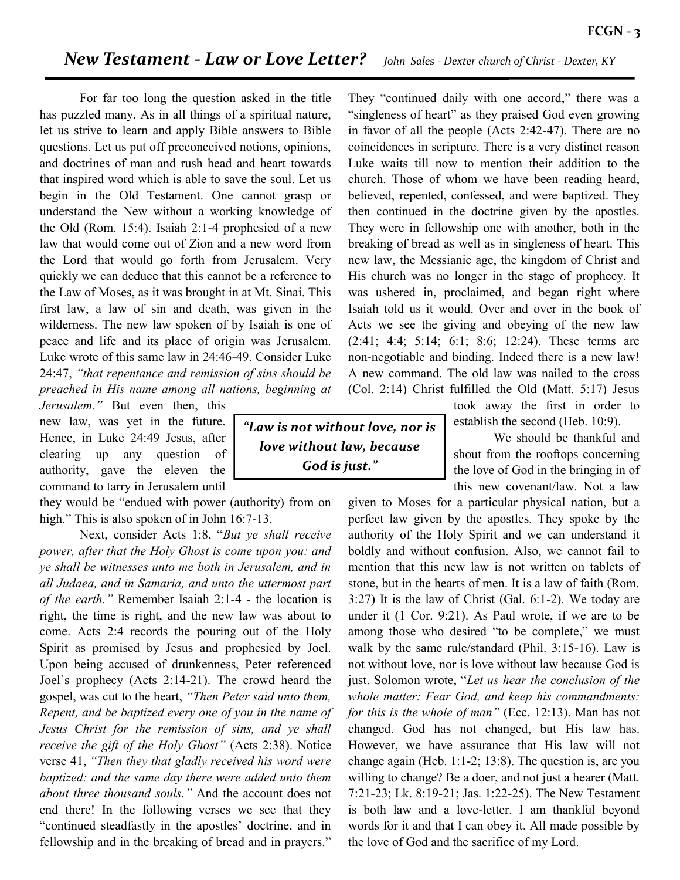## *New Testament - Law or Love Letter? John Sales - Dexter church of Christ - Dexter, KY*

For far too long the question asked in the title has puzzled many. As in all things of a spiritual nature, let us strive to learn and apply Bible answers to Bible questions. Let us put off preconceived notions, opinions, and doctrines of man and rush head and heart towards that inspired word which is able to save the soul. Let us begin in the Old Testament. One cannot grasp or understand the New without a working knowledge of the Old (Rom. 15:4). Isaiah 2:1-4 prophesied of a new law that would come out of Zion and a new word from the Lord that would go forth from Jerusalem. Very quickly we can deduce that this cannot be a reference to the Law of Moses, as it was brought in at Mt. Sinai. This first law, a law of sin and death, was given in the wilderness. The new law spoken of by Isaiah is one of peace and life and its place of origin was Jerusalem. Luke wrote of this same law in 24:46-49. Consider Luke 24:47, *"that repentance and remission of sins should be preached in His name among all nations, beginning at* 

*Jerusalem."* But even then, this new law, was yet in the future. Hence, in Luke 24:49 Jesus, after clearing up any question of authority, gave the eleven the command to tarry in Jerusalem until

they would be "endued with power (authority) from on high." This is also spoken of in John 16:7-13.

Next, consider Acts 1:8, "*But ye shall receive power, after that the Holy Ghost is come upon you: and ye shall be witnesses unto me both in Jerusalem, and in all Judaea, and in Samaria, and unto the uttermost part of the earth."* Remember Isaiah 2:1-4 - the location is right, the time is right, and the new law was about to come. Acts 2:4 records the pouring out of the Holy Spirit as promised by Jesus and prophesied by Joel. Upon being accused of drunkenness, Peter referenced Joel's prophecy (Acts 2:14-21). The crowd heard the gospel, was cut to the heart, *"Then Peter said unto them, Repent, and be baptized every one of you in the name of Jesus Christ for the remission of sins, and ye shall receive the gift of the Holy Ghost"* (Acts 2:38). Notice verse 41, *"Then they that gladly received his word were baptized: and the same day there were added unto them about three thousand souls."* And the account does not end there! In the following verses we see that they "continued steadfastly in the apostles' doctrine, and in fellowship and in the breaking of bread and in prayers."

*"Law is not without love, nor is love without law, because God is just."*

They "continued daily with one accord," there was a "singleness of heart" as they praised God even growing in favor of all the people (Acts 2:42-47). There are no coincidences in scripture. There is a very distinct reason Luke waits till now to mention their addition to the church. Those of whom we have been reading heard, believed, repented, confessed, and were baptized. They then continued in the doctrine given by the apostles. They were in fellowship one with another, both in the breaking of bread as well as in singleness of heart. This new law, the Messianic age, the kingdom of Christ and His church was no longer in the stage of prophecy. It was ushered in, proclaimed, and began right where Isaiah told us it would. Over and over in the book of Acts we see the giving and obeying of the new law (2:41; 4:4; 5:14; 6:1; 8:6; 12:24). These terms are non-negotiable and binding. Indeed there is a new law! A new command. The old law was nailed to the cross (Col. 2:14) Christ fulfilled the Old (Matt. 5:17) Jesus

> took away the first in order to establish the second (Heb. 10:9).

> We should be thankful and shout from the rooftops concerning the love of God in the bringing in of this new covenant/law. Not a law

given to Moses for a particular physical nation, but a perfect law given by the apostles. They spoke by the authority of the Holy Spirit and we can understand it boldly and without confusion. Also, we cannot fail to mention that this new law is not written on tablets of stone, but in the hearts of men. It is a law of faith (Rom. 3:27) It is the law of Christ (Gal. 6:1-2). We today are under it (1 Cor. 9:21). As Paul wrote, if we are to be among those who desired "to be complete," we must walk by the same rule/standard (Phil. 3:15-16). Law is not without love, nor is love without law because God is just. Solomon wrote, "*Let us hear the conclusion of the whole matter: Fear God, and keep his commandments: for this is the whole of man"* (Ecc. 12:13). Man has not changed. God has not changed, but His law has. However, we have assurance that His law will not change again (Heb. 1:1-2; 13:8). The question is, are you willing to change? Be a doer, and not just a hearer (Matt. 7:21-23; Lk. 8:19-21; Jas. 1:22-25). The New Testament is both law and a love-letter. I am thankful beyond words for it and that I can obey it. All made possible by the love of God and the sacrifice of my Lord.